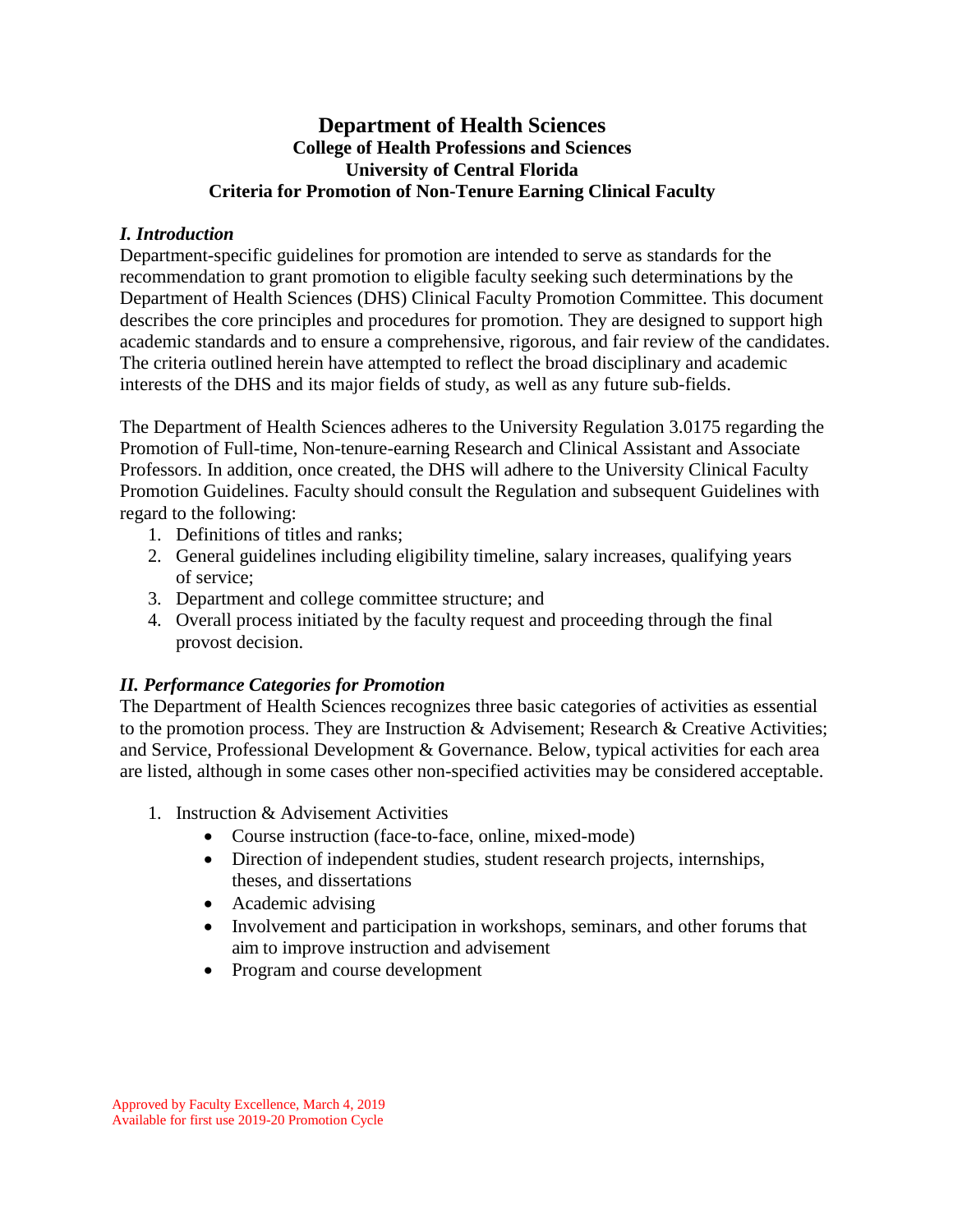# **Department of Health Sciences College of Health Professions and Sciences University of Central Florida Criteria for Promotion of Non-Tenure Earning Clinical Faculty**

### *I. Introduction*

Department-specific guidelines for promotion are intended to serve as standards for the recommendation to grant promotion to eligible faculty seeking such determinations by the Department of Health Sciences (DHS) Clinical Faculty Promotion Committee. This document describes the core principles and procedures for promotion. They are designed to support high academic standards and to ensure a comprehensive, rigorous, and fair review of the candidates. The criteria outlined herein have attempted to reflect the broad disciplinary and academic interests of the DHS and its major fields of study, as well as any future sub-fields.

The Department of Health Sciences adheres to the University Regulation 3.0175 regarding the Promotion of Full-time, Non-tenure-earning Research and Clinical Assistant and Associate Professors. In addition, once created, the DHS will adhere to the University Clinical Faculty Promotion Guidelines. Faculty should consult the Regulation and subsequent Guidelines with regard to the following:

- 1. Definitions of titles and ranks;
- 2. General guidelines including eligibility timeline, salary increases, qualifying years of service;
- 3. Department and college committee structure; and
- 4. Overall process initiated by the faculty request and proceeding through the final provost decision.

# *II. Performance Categories for Promotion*

The Department of Health Sciences recognizes three basic categories of activities as essential to the promotion process. They are Instruction  $\&$  Advisement; Research  $\&$  Creative Activities; and Service, Professional Development & Governance. Below, typical activities for each area are listed, although in some cases other non-specified activities may be considered acceptable.

- 1. Instruction & Advisement Activities
	- Course instruction (face-to-face, online, mixed-mode)
	- Direction of independent studies, student research projects, internships, theses, and dissertations
	- Academic advising
	- Involvement and participation in workshops, seminars, and other forums that aim to improve instruction and advisement
	- Program and course development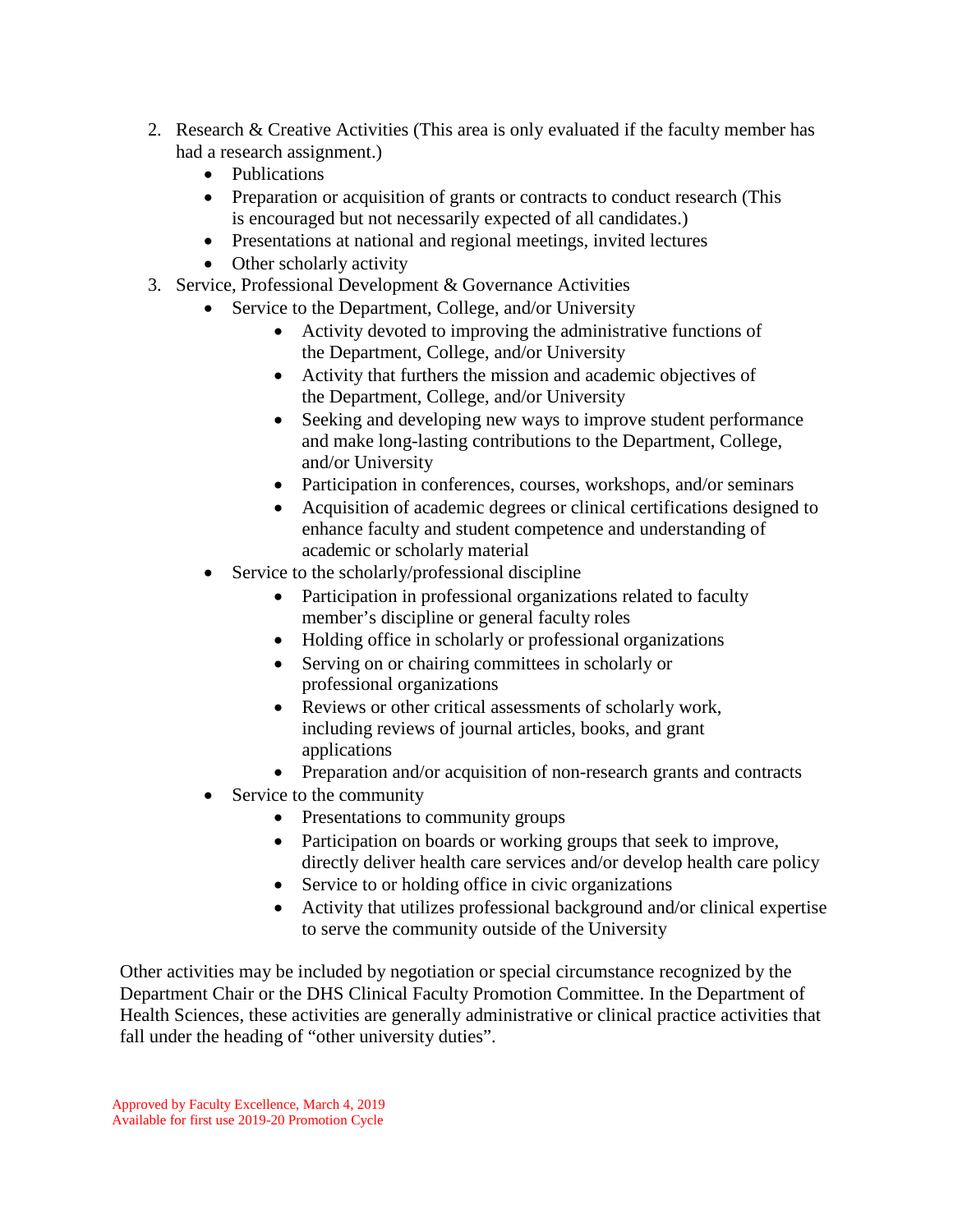- 2. Research & Creative Activities (This area is only evaluated if the faculty member has had a research assignment.)
	- Publications
	- Preparation or acquisition of grants or contracts to conduct research (This is encouraged but not necessarily expected of all candidates.)
	- Presentations at national and regional meetings, invited lectures
	- Other scholarly activity
- 3. Service, Professional Development & Governance Activities
	- Service to the Department, College, and/or University
		- Activity devoted to improving the administrative functions of the Department, College, and/or University
		- Activity that furthers the mission and academic objectives of the Department, College, and/or University
		- Seeking and developing new ways to improve student performance and make long-lasting contributions to the Department, College, and/or University
		- Participation in conferences, courses, workshops, and/or seminars
		- Acquisition of academic degrees or clinical certifications designed to enhance faculty and student competence and understanding of academic or scholarly material
	- Service to the scholarly/professional discipline
		- Participation in professional organizations related to faculty member's discipline or general faculty roles
		- Holding office in scholarly or professional organizations
		- Serving on or chairing committees in scholarly or professional organizations
		- Reviews or other critical assessments of scholarly work, including reviews of journal articles, books, and grant applications
		- Preparation and/or acquisition of non-research grants and contracts
	- Service to the community
		- Presentations to community groups
		- Participation on boards or working groups that seek to improve, directly deliver health care services and/or develop health care policy
		- Service to or holding office in civic organizations
		- Activity that utilizes professional background and/or clinical expertise to serve the community outside of the University

Other activities may be included by negotiation or special circumstance recognized by the Department Chair or the DHS Clinical Faculty Promotion Committee. In the Department of Health Sciences, these activities are generally administrative or clinical practice activities that fall under the heading of "other university duties".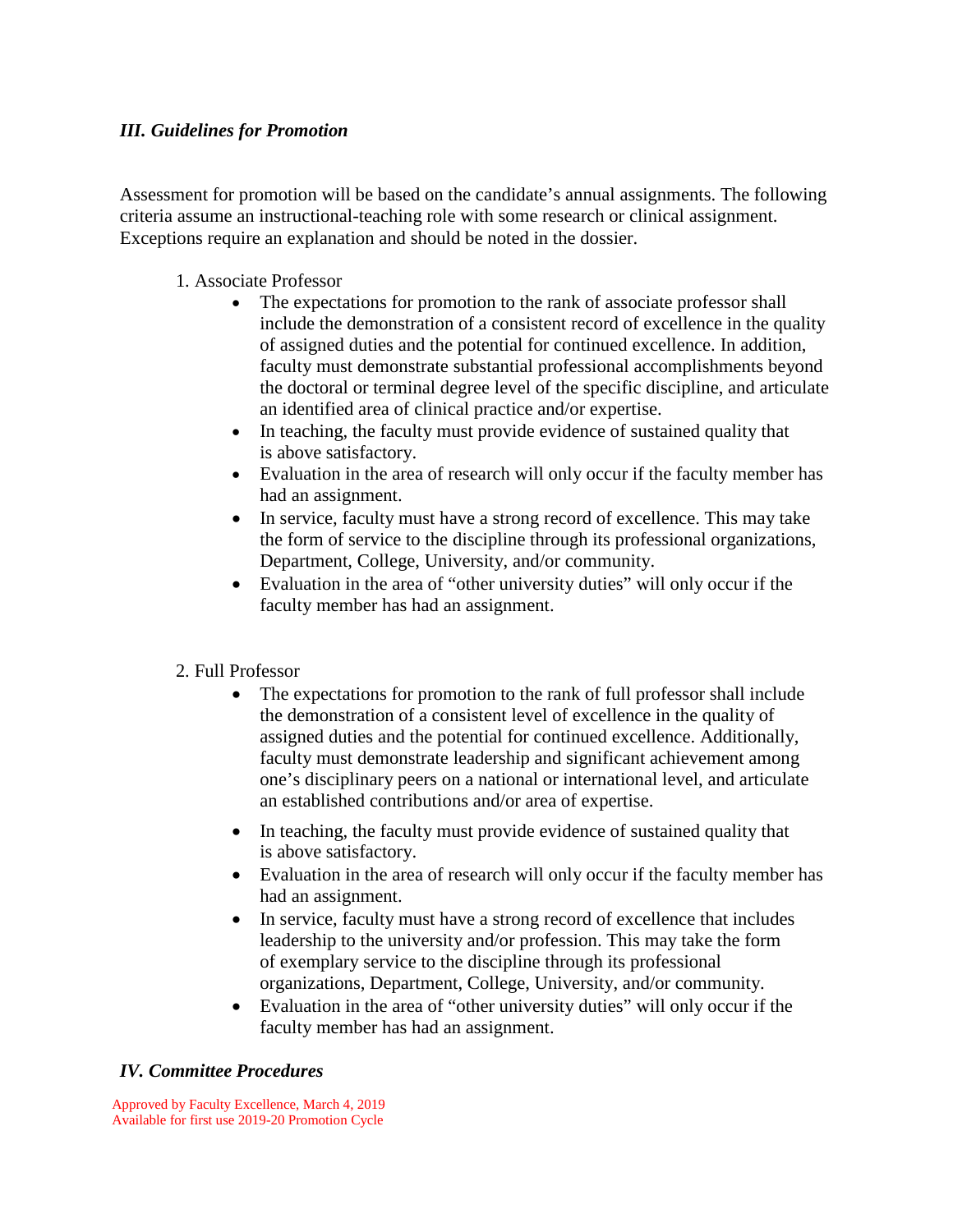#### *III. Guidelines for Promotion*

Assessment for promotion will be based on the candidate's annual assignments. The following criteria assume an instructional-teaching role with some research or clinical assignment. Exceptions require an explanation and should be noted in the dossier.

### 1. Associate Professor

- The expectations for promotion to the rank of associate professor shall include the demonstration of a consistent record of excellence in the quality of assigned duties and the potential for continued excellence. In addition, faculty must demonstrate substantial professional accomplishments beyond the doctoral or terminal degree level of the specific discipline, and articulate an identified area of clinical practice and/or expertise.
- In teaching, the faculty must provide evidence of sustained quality that is above satisfactory.
- Evaluation in the area of research will only occur if the faculty member has had an assignment.
- In service, faculty must have a strong record of excellence. This may take the form of service to the discipline through its professional organizations, Department, College, University, and/or community.
- Evaluation in the area of "other university duties" will only occur if the faculty member has had an assignment.

#### 2. Full Professor

- The expectations for promotion to the rank of full professor shall include the demonstration of a consistent level of excellence in the quality of assigned duties and the potential for continued excellence. Additionally, faculty must demonstrate leadership and significant achievement among one's disciplinary peers on a national or international level, and articulate an established contributions and/or area of expertise.
- In teaching, the faculty must provide evidence of sustained quality that is above satisfactory.
- Evaluation in the area of research will only occur if the faculty member has had an assignment.
- In service, faculty must have a strong record of excellence that includes leadership to the university and/or profession. This may take the form of exemplary service to the discipline through its professional organizations, Department, College, University, and/or community.
- Evaluation in the area of "other university duties" will only occur if the faculty member has had an assignment.

# *IV. Committee Procedures*

Approved by Faculty Excellence, March 4, 2019 Available for first use 2019-20 Promotion Cycle